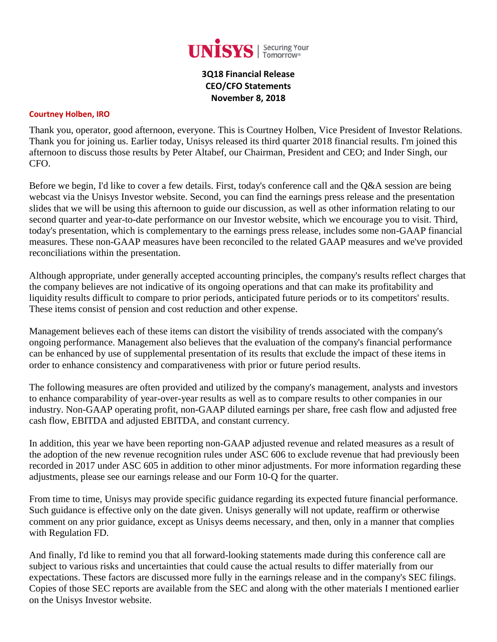

**3Q18 Financial Release CEO/CFO Statements November 8, 2018**

#### **Courtney Holben, IRO**

Thank you, operator, good afternoon, everyone. This is Courtney Holben, Vice President of Investor Relations. Thank you for joining us. Earlier today, Unisys released its third quarter 2018 financial results. I'm joined this afternoon to discuss those results by Peter Altabef, our Chairman, President and CEO; and Inder Singh, our CFO.

Before we begin, I'd like to cover a few details. First, today's conference call and the Q&A session are being webcast via the Unisys Investor website. Second, you can find the earnings press release and the presentation slides that we will be using this afternoon to guide our discussion, as well as other information relating to our second quarter and year-to-date performance on our Investor website, which we encourage you to visit. Third, today's presentation, which is complementary to the earnings press release, includes some non-GAAP financial measures. These non-GAAP measures have been reconciled to the related GAAP measures and we've provided reconciliations within the presentation.

Although appropriate, under generally accepted accounting principles, the company's results reflect charges that the company believes are not indicative of its ongoing operations and that can make its profitability and liquidity results difficult to compare to prior periods, anticipated future periods or to its competitors' results. These items consist of pension and cost reduction and other expense.

Management believes each of these items can distort the visibility of trends associated with the company's ongoing performance. Management also believes that the evaluation of the company's financial performance can be enhanced by use of supplemental presentation of its results that exclude the impact of these items in order to enhance consistency and comparativeness with prior or future period results.

The following measures are often provided and utilized by the company's management, analysts and investors to enhance comparability of year-over-year results as well as to compare results to other companies in our industry. Non-GAAP operating profit, non-GAAP diluted earnings per share, free cash flow and adjusted free cash flow, EBITDA and adjusted EBITDA, and constant currency.

In addition, this year we have been reporting non-GAAP adjusted revenue and related measures as a result of the adoption of the new revenue recognition rules under ASC 606 to exclude revenue that had previously been recorded in 2017 under ASC 605 in addition to other minor adjustments. For more information regarding these adjustments, please see our earnings release and our Form 10-Q for the quarter.

From time to time, Unisys may provide specific guidance regarding its expected future financial performance. Such guidance is effective only on the date given. Unisys generally will not update, reaffirm or otherwise comment on any prior guidance, except as Unisys deems necessary, and then, only in a manner that complies with Regulation FD.

And finally, I'd like to remind you that all forward-looking statements made during this conference call are subject to various risks and uncertainties that could cause the actual results to differ materially from our expectations. These factors are discussed more fully in the earnings release and in the company's SEC filings. Copies of those SEC reports are available from the SEC and along with the other materials I mentioned earlier on the Unisys Investor website.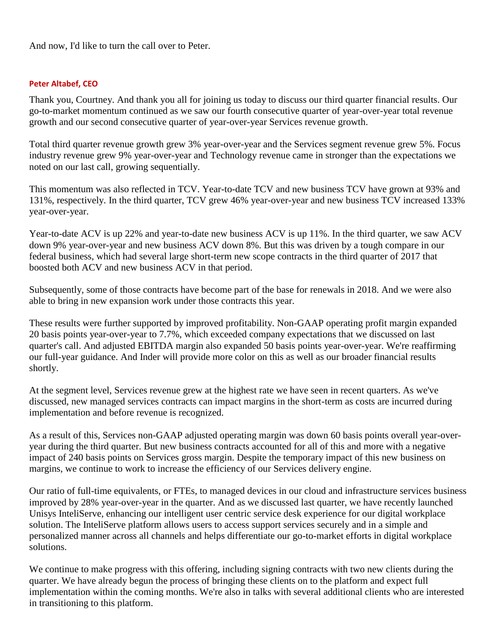And now, I'd like to turn the call over to Peter.

#### **Peter Altabef, CEO**

Thank you, Courtney. And thank you all for joining us today to discuss our third quarter financial results. Our go-to-market momentum continued as we saw our fourth consecutive quarter of year-over-year total revenue growth and our second consecutive quarter of year-over-year Services revenue growth.

Total third quarter revenue growth grew 3% year-over-year and the Services segment revenue grew 5%. Focus industry revenue grew 9% year-over-year and Technology revenue came in stronger than the expectations we noted on our last call, growing sequentially.

This momentum was also reflected in TCV. Year-to-date TCV and new business TCV have grown at 93% and 131%, respectively. In the third quarter, TCV grew 46% year-over-year and new business TCV increased 133% year-over-year.

Year-to-date ACV is up 22% and year-to-date new business ACV is up 11%. In the third quarter, we saw ACV down 9% year-over-year and new business ACV down 8%. But this was driven by a tough compare in our federal business, which had several large short-term new scope contracts in the third quarter of 2017 that boosted both ACV and new business ACV in that period.

Subsequently, some of those contracts have become part of the base for renewals in 2018. And we were also able to bring in new expansion work under those contracts this year.

These results were further supported by improved profitability. Non-GAAP operating profit margin expanded 20 basis points year-over-year to 7.7%, which exceeded company expectations that we discussed on last quarter's call. And adjusted EBITDA margin also expanded 50 basis points year-over-year. We're reaffirming our full-year guidance. And Inder will provide more color on this as well as our broader financial results shortly.

At the segment level, Services revenue grew at the highest rate we have seen in recent quarters. As we've discussed, new managed services contracts can impact margins in the short-term as costs are incurred during implementation and before revenue is recognized.

As a result of this, Services non-GAAP adjusted operating margin was down 60 basis points overall year-overyear during the third quarter. But new business contracts accounted for all of this and more with a negative impact of 240 basis points on Services gross margin. Despite the temporary impact of this new business on margins, we continue to work to increase the efficiency of our Services delivery engine.

Our ratio of full-time equivalents, or FTEs, to managed devices in our cloud and infrastructure services business improved by 28% year-over-year in the quarter. And as we discussed last quarter, we have recently launched Unisys InteliServe, enhancing our intelligent user centric service desk experience for our digital workplace solution. The InteliServe platform allows users to access support services securely and in a simple and personalized manner across all channels and helps differentiate our go-to-market efforts in digital workplace solutions.

We continue to make progress with this offering, including signing contracts with two new clients during the quarter. We have already begun the process of bringing these clients on to the platform and expect full implementation within the coming months. We're also in talks with several additional clients who are interested in transitioning to this platform.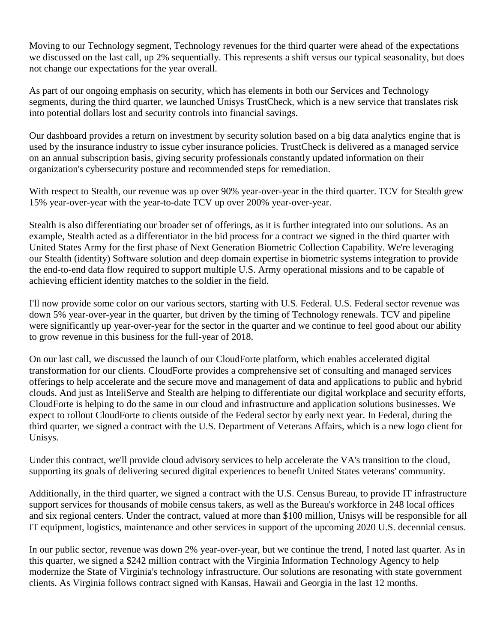Moving to our Technology segment, Technology revenues for the third quarter were ahead of the expectations we discussed on the last call, up 2% sequentially. This represents a shift versus our typical seasonality, but does not change our expectations for the year overall.

As part of our ongoing emphasis on security, which has elements in both our Services and Technology segments, during the third quarter, we launched Unisys TrustCheck, which is a new service that translates risk into potential dollars lost and security controls into financial savings.

Our dashboard provides a return on investment by security solution based on a big data analytics engine that is used by the insurance industry to issue cyber insurance policies. TrustCheck is delivered as a managed service on an annual subscription basis, giving security professionals constantly updated information on their organization's cybersecurity posture and recommended steps for remediation.

With respect to Stealth, our revenue was up over 90% year-over-year in the third quarter. TCV for Stealth grew 15% year-over-year with the year-to-date TCV up over 200% year-over-year.

Stealth is also differentiating our broader set of offerings, as it is further integrated into our solutions. As an example, Stealth acted as a differentiator in the bid process for a contract we signed in the third quarter with United States Army for the first phase of Next Generation Biometric Collection Capability. We're leveraging our Stealth (identity) Software solution and deep domain expertise in biometric systems integration to provide the end-to-end data flow required to support multiple U.S. Army operational missions and to be capable of achieving efficient identity matches to the soldier in the field.

I'll now provide some color on our various sectors, starting with U.S. Federal. U.S. Federal sector revenue was down 5% year-over-year in the quarter, but driven by the timing of Technology renewals. TCV and pipeline were significantly up year-over-year for the sector in the quarter and we continue to feel good about our ability to grow revenue in this business for the full-year of 2018.

On our last call, we discussed the launch of our CloudForte platform, which enables accelerated digital transformation for our clients. CloudForte provides a comprehensive set of consulting and managed services offerings to help accelerate and the secure move and management of data and applications to public and hybrid clouds. And just as InteliServe and Stealth are helping to differentiate our digital workplace and security efforts, CloudForte is helping to do the same in our cloud and infrastructure and application solutions businesses. We expect to rollout CloudForte to clients outside of the Federal sector by early next year. In Federal, during the third quarter, we signed a contract with the U.S. Department of Veterans Affairs, which is a new logo client for Unisys.

Under this contract, we'll provide cloud advisory services to help accelerate the VA's transition to the cloud, supporting its goals of delivering secured digital experiences to benefit United States veterans' community.

Additionally, in the third quarter, we signed a contract with the U.S. Census Bureau, to provide IT infrastructure support services for thousands of mobile census takers, as well as the Bureau's workforce in 248 local offices and six regional centers. Under the contract, valued at more than \$100 million, Unisys will be responsible for all IT equipment, logistics, maintenance and other services in support of the upcoming 2020 U.S. decennial census.

In our public sector, revenue was down 2% year-over-year, but we continue the trend, I noted last quarter. As in this quarter, we signed a \$242 million contract with the Virginia Information Technology Agency to help modernize the State of Virginia's technology infrastructure. Our solutions are resonating with state government clients. As Virginia follows contract signed with Kansas, Hawaii and Georgia in the last 12 months.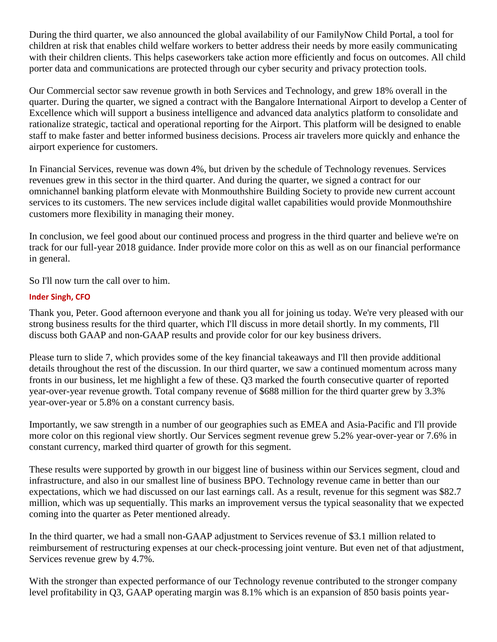During the third quarter, we also announced the global availability of our FamilyNow Child Portal, a tool for children at risk that enables child welfare workers to better address their needs by more easily communicating with their children clients. This helps caseworkers take action more efficiently and focus on outcomes. All child porter data and communications are protected through our cyber security and privacy protection tools.

Our Commercial sector saw revenue growth in both Services and Technology, and grew 18% overall in the quarter. During the quarter, we signed a contract with the Bangalore International Airport to develop a Center of Excellence which will support a business intelligence and advanced data analytics platform to consolidate and rationalize strategic, tactical and operational reporting for the Airport. This platform will be designed to enable staff to make faster and better informed business decisions. Process air travelers more quickly and enhance the airport experience for customers.

In Financial Services, revenue was down 4%, but driven by the schedule of Technology revenues. Services revenues grew in this sector in the third quarter. And during the quarter, we signed a contract for our omnichannel banking platform elevate with Monmouthshire Building Society to provide new current account services to its customers. The new services include digital wallet capabilities would provide Monmouthshire customers more flexibility in managing their money.

In conclusion, we feel good about our continued process and progress in the third quarter and believe we're on track for our full-year 2018 guidance. Inder provide more color on this as well as on our financial performance in general.

So I'll now turn the call over to him.

## **Inder Singh, CFO**

Thank you, Peter. Good afternoon everyone and thank you all for joining us today. We're very pleased with our strong business results for the third quarter, which I'll discuss in more detail shortly. In my comments, I'll discuss both GAAP and non-GAAP results and provide color for our key business drivers.

Please turn to slide 7, which provides some of the key financial takeaways and I'll then provide additional details throughout the rest of the discussion. In our third quarter, we saw a continued momentum across many fronts in our business, let me highlight a few of these. Q3 marked the fourth consecutive quarter of reported year-over-year revenue growth. Total company revenue of \$688 million for the third quarter grew by 3.3% year-over-year or 5.8% on a constant currency basis.

Importantly, we saw strength in a number of our geographies such as EMEA and Asia-Pacific and I'll provide more color on this regional view shortly. Our Services segment revenue grew 5.2% year-over-year or 7.6% in constant currency, marked third quarter of growth for this segment.

These results were supported by growth in our biggest line of business within our Services segment, cloud and infrastructure, and also in our smallest line of business BPO. Technology revenue came in better than our expectations, which we had discussed on our last earnings call. As a result, revenue for this segment was \$82.7 million, which was up sequentially. This marks an improvement versus the typical seasonality that we expected coming into the quarter as Peter mentioned already.

In the third quarter, we had a small non-GAAP adjustment to Services revenue of \$3.1 million related to reimbursement of restructuring expenses at our check-processing joint venture. But even net of that adjustment, Services revenue grew by 4.7%.

With the stronger than expected performance of our Technology revenue contributed to the stronger company level profitability in Q3, GAAP operating margin was 8.1% which is an expansion of 850 basis points year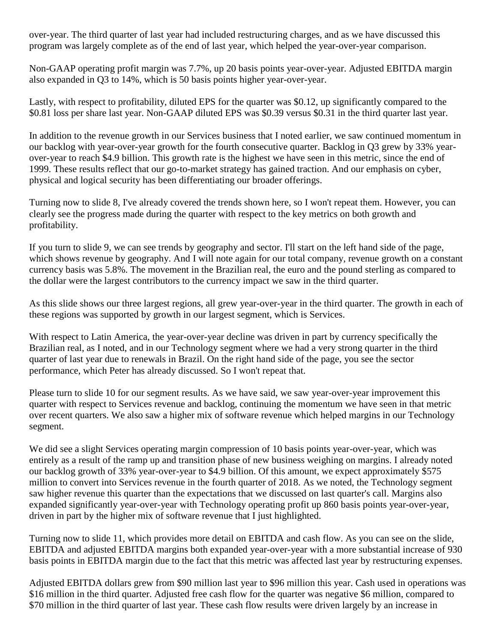over-year. The third quarter of last year had included restructuring charges, and as we have discussed this program was largely complete as of the end of last year, which helped the year-over-year comparison.

Non-GAAP operating profit margin was 7.7%, up 20 basis points year-over-year. Adjusted EBITDA margin also expanded in Q3 to 14%, which is 50 basis points higher year-over-year.

Lastly, with respect to profitability, diluted EPS for the quarter was \$0.12, up significantly compared to the \$0.81 loss per share last year. Non-GAAP diluted EPS was \$0.39 versus \$0.31 in the third quarter last year.

In addition to the revenue growth in our Services business that I noted earlier, we saw continued momentum in our backlog with year-over-year growth for the fourth consecutive quarter. Backlog in Q3 grew by 33% yearover-year to reach \$4.9 billion. This growth rate is the highest we have seen in this metric, since the end of 1999. These results reflect that our go-to-market strategy has gained traction. And our emphasis on cyber, physical and logical security has been differentiating our broader offerings.

Turning now to slide 8, I've already covered the trends shown here, so I won't repeat them. However, you can clearly see the progress made during the quarter with respect to the key metrics on both growth and profitability.

If you turn to slide 9, we can see trends by geography and sector. I'll start on the left hand side of the page, which shows revenue by geography. And I will note again for our total company, revenue growth on a constant currency basis was 5.8%. The movement in the Brazilian real, the euro and the pound sterling as compared to the dollar were the largest contributors to the currency impact we saw in the third quarter.

As this slide shows our three largest regions, all grew year-over-year in the third quarter. The growth in each of these regions was supported by growth in our largest segment, which is Services.

With respect to Latin America, the year-over-year decline was driven in part by currency specifically the Brazilian real, as I noted, and in our Technology segment where we had a very strong quarter in the third quarter of last year due to renewals in Brazil. On the right hand side of the page, you see the sector performance, which Peter has already discussed. So I won't repeat that.

Please turn to slide 10 for our segment results. As we have said, we saw year-over-year improvement this quarter with respect to Services revenue and backlog, continuing the momentum we have seen in that metric over recent quarters. We also saw a higher mix of software revenue which helped margins in our Technology segment.

We did see a slight Services operating margin compression of 10 basis points year-over-year, which was entirely as a result of the ramp up and transition phase of new business weighing on margins. I already noted our backlog growth of 33% year-over-year to \$4.9 billion. Of this amount, we expect approximately \$575 million to convert into Services revenue in the fourth quarter of 2018. As we noted, the Technology segment saw higher revenue this quarter than the expectations that we discussed on last quarter's call. Margins also expanded significantly year-over-year with Technology operating profit up 860 basis points year-over-year, driven in part by the higher mix of software revenue that I just highlighted.

Turning now to slide 11, which provides more detail on EBITDA and cash flow. As you can see on the slide, EBITDA and adjusted EBITDA margins both expanded year-over-year with a more substantial increase of 930 basis points in EBITDA margin due to the fact that this metric was affected last year by restructuring expenses.

Adjusted EBITDA dollars grew from \$90 million last year to \$96 million this year. Cash used in operations was \$16 million in the third quarter. Adjusted free cash flow for the quarter was negative \$6 million, compared to \$70 million in the third quarter of last year. These cash flow results were driven largely by an increase in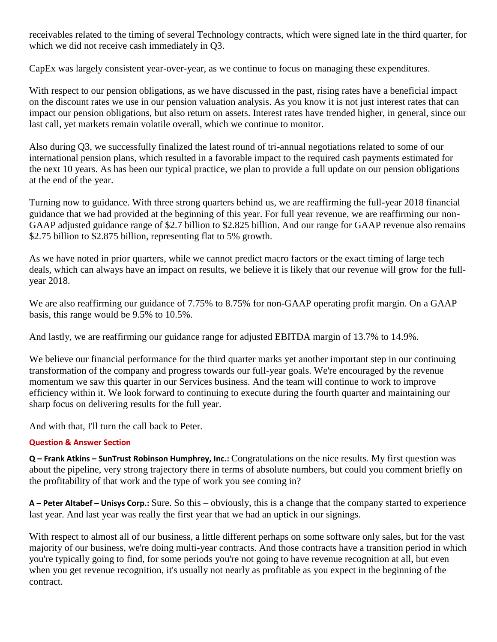receivables related to the timing of several Technology contracts, which were signed late in the third quarter, for which we did not receive cash immediately in Q3.

CapEx was largely consistent year-over-year, as we continue to focus on managing these expenditures.

With respect to our pension obligations, as we have discussed in the past, rising rates have a beneficial impact on the discount rates we use in our pension valuation analysis. As you know it is not just interest rates that can impact our pension obligations, but also return on assets. Interest rates have trended higher, in general, since our last call, yet markets remain volatile overall, which we continue to monitor.

Also during Q3, we successfully finalized the latest round of tri-annual negotiations related to some of our international pension plans, which resulted in a favorable impact to the required cash payments estimated for the next 10 years. As has been our typical practice, we plan to provide a full update on our pension obligations at the end of the year.

Turning now to guidance. With three strong quarters behind us, we are reaffirming the full-year 2018 financial guidance that we had provided at the beginning of this year. For full year revenue, we are reaffirming our non-GAAP adjusted guidance range of \$2.7 billion to \$2.825 billion. And our range for GAAP revenue also remains \$2.75 billion to \$2.875 billion, representing flat to 5% growth.

As we have noted in prior quarters, while we cannot predict macro factors or the exact timing of large tech deals, which can always have an impact on results, we believe it is likely that our revenue will grow for the fullyear 2018.

We are also reaffirming our guidance of 7.75% to 8.75% for non-GAAP operating profit margin. On a GAAP basis, this range would be 9.5% to 10.5%.

And lastly, we are reaffirming our guidance range for adjusted EBITDA margin of 13.7% to 14.9%.

We believe our financial performance for the third quarter marks yet another important step in our continuing transformation of the company and progress towards our full-year goals. We're encouraged by the revenue momentum we saw this quarter in our Services business. And the team will continue to work to improve efficiency within it. We look forward to continuing to execute during the fourth quarter and maintaining our sharp focus on delivering results for the full year.

And with that, I'll turn the call back to Peter.

## **Question & Answer Section**

**Q – Frank Atkins – SunTrust Robinson Humphrey, Inc.:** Congratulations on the nice results. My first question was about the pipeline, very strong trajectory there in terms of absolute numbers, but could you comment briefly on the profitability of that work and the type of work you see coming in?

**A – Peter Altabef – Unisys Corp.:** Sure. So this – obviously, this is a change that the company started to experience last year. And last year was really the first year that we had an uptick in our signings.

With respect to almost all of our business, a little different perhaps on some software only sales, but for the vast majority of our business, we're doing multi-year contracts. And those contracts have a transition period in which you're typically going to find, for some periods you're not going to have revenue recognition at all, but even when you get revenue recognition, it's usually not nearly as profitable as you expect in the beginning of the contract.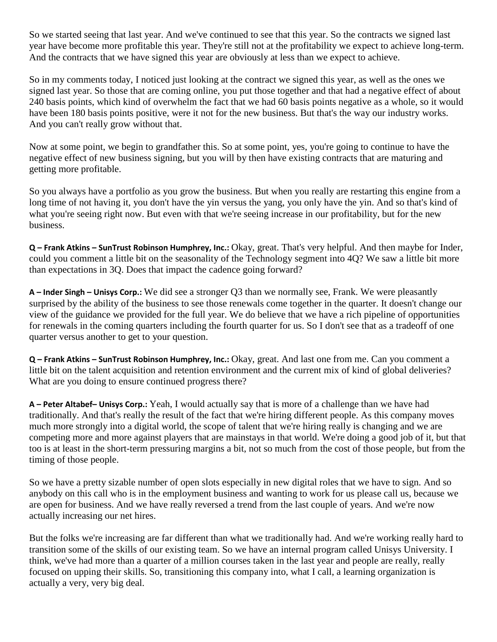So we started seeing that last year. And we've continued to see that this year. So the contracts we signed last year have become more profitable this year. They're still not at the profitability we expect to achieve long-term. And the contracts that we have signed this year are obviously at less than we expect to achieve.

So in my comments today, I noticed just looking at the contract we signed this year, as well as the ones we signed last year. So those that are coming online, you put those together and that had a negative effect of about 240 basis points, which kind of overwhelm the fact that we had 60 basis points negative as a whole, so it would have been 180 basis points positive, were it not for the new business. But that's the way our industry works. And you can't really grow without that.

Now at some point, we begin to grandfather this. So at some point, yes, you're going to continue to have the negative effect of new business signing, but you will by then have existing contracts that are maturing and getting more profitable.

So you always have a portfolio as you grow the business. But when you really are restarting this engine from a long time of not having it, you don't have the yin versus the yang, you only have the yin. And so that's kind of what you're seeing right now. But even with that we're seeing increase in our profitability, but for the new business.

**Q – Frank Atkins – SunTrust Robinson Humphrey, Inc.:** Okay, great. That's very helpful. And then maybe for Inder, could you comment a little bit on the seasonality of the Technology segment into 4Q? We saw a little bit more than expectations in 3Q. Does that impact the cadence going forward?

**A – Inder Singh – Unisys Corp.:** We did see a stronger Q3 than we normally see, Frank. We were pleasantly surprised by the ability of the business to see those renewals come together in the quarter. It doesn't change our view of the guidance we provided for the full year. We do believe that we have a rich pipeline of opportunities for renewals in the coming quarters including the fourth quarter for us. So I don't see that as a tradeoff of one quarter versus another to get to your question.

**Q – Frank Atkins – SunTrust Robinson Humphrey, Inc.:** Okay, great. And last one from me. Can you comment a little bit on the talent acquisition and retention environment and the current mix of kind of global deliveries? What are you doing to ensure continued progress there?

**A – Peter Altabef– Unisys Corp.:** Yeah, I would actually say that is more of a challenge than we have had traditionally. And that's really the result of the fact that we're hiring different people. As this company moves much more strongly into a digital world, the scope of talent that we're hiring really is changing and we are competing more and more against players that are mainstays in that world. We're doing a good job of it, but that too is at least in the short-term pressuring margins a bit, not so much from the cost of those people, but from the timing of those people.

So we have a pretty sizable number of open slots especially in new digital roles that we have to sign. And so anybody on this call who is in the employment business and wanting to work for us please call us, because we are open for business. And we have really reversed a trend from the last couple of years. And we're now actually increasing our net hires.

But the folks we're increasing are far different than what we traditionally had. And we're working really hard to transition some of the skills of our existing team. So we have an internal program called Unisys University. I think, we've had more than a quarter of a million courses taken in the last year and people are really, really focused on upping their skills. So, transitioning this company into, what I call, a learning organization is actually a very, very big deal.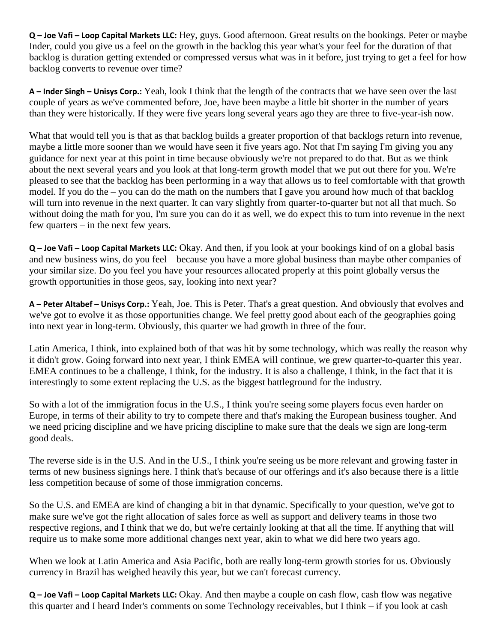**Q – Joe Vafi – Loop Capital Markets LLC:** Hey, guys. Good afternoon. Great results on the bookings. Peter or maybe Inder, could you give us a feel on the growth in the backlog this year what's your feel for the duration of that backlog is duration getting extended or compressed versus what was in it before, just trying to get a feel for how backlog converts to revenue over time?

**A – Inder Singh – Unisys Corp.:** Yeah, look I think that the length of the contracts that we have seen over the last couple of years as we've commented before, Joe, have been maybe a little bit shorter in the number of years than they were historically. If they were five years long several years ago they are three to five-year-ish now.

What that would tell you is that as that backlog builds a greater proportion of that backlogs return into revenue, maybe a little more sooner than we would have seen it five years ago. Not that I'm saying I'm giving you any guidance for next year at this point in time because obviously we're not prepared to do that. But as we think about the next several years and you look at that long-term growth model that we put out there for you. We're pleased to see that the backlog has been performing in a way that allows us to feel comfortable with that growth model. If you do the – you can do the math on the numbers that I gave you around how much of that backlog will turn into revenue in the next quarter. It can vary slightly from quarter-to-quarter but not all that much. So without doing the math for you, I'm sure you can do it as well, we do expect this to turn into revenue in the next few quarters – in the next few years.

**Q – Joe Vafi – Loop Capital Markets LLC:** Okay. And then, if you look at your bookings kind of on a global basis and new business wins, do you feel – because you have a more global business than maybe other companies of your similar size. Do you feel you have your resources allocated properly at this point globally versus the growth opportunities in those geos, say, looking into next year?

**A – Peter Altabef – Unisys Corp.:** Yeah, Joe. This is Peter. That's a great question. And obviously that evolves and we've got to evolve it as those opportunities change. We feel pretty good about each of the geographies going into next year in long-term. Obviously, this quarter we had growth in three of the four.

Latin America, I think, into explained both of that was hit by some technology, which was really the reason why it didn't grow. Going forward into next year, I think EMEA will continue, we grew quarter-to-quarter this year. EMEA continues to be a challenge, I think, for the industry. It is also a challenge, I think, in the fact that it is interestingly to some extent replacing the U.S. as the biggest battleground for the industry.

So with a lot of the immigration focus in the U.S., I think you're seeing some players focus even harder on Europe, in terms of their ability to try to compete there and that's making the European business tougher. And we need pricing discipline and we have pricing discipline to make sure that the deals we sign are long-term good deals.

The reverse side is in the U.S. And in the U.S., I think you're seeing us be more relevant and growing faster in terms of new business signings here. I think that's because of our offerings and it's also because there is a little less competition because of some of those immigration concerns.

So the U.S. and EMEA are kind of changing a bit in that dynamic. Specifically to your question, we've got to make sure we've got the right allocation of sales force as well as support and delivery teams in those two respective regions, and I think that we do, but we're certainly looking at that all the time. If anything that will require us to make some more additional changes next year, akin to what we did here two years ago.

When we look at Latin America and Asia Pacific, both are really long-term growth stories for us. Obviously currency in Brazil has weighed heavily this year, but we can't forecast currency.

**Q – Joe Vafi – Loop Capital Markets LLC:** Okay. And then maybe a couple on cash flow, cash flow was negative this quarter and I heard Inder's comments on some Technology receivables, but I think – if you look at cash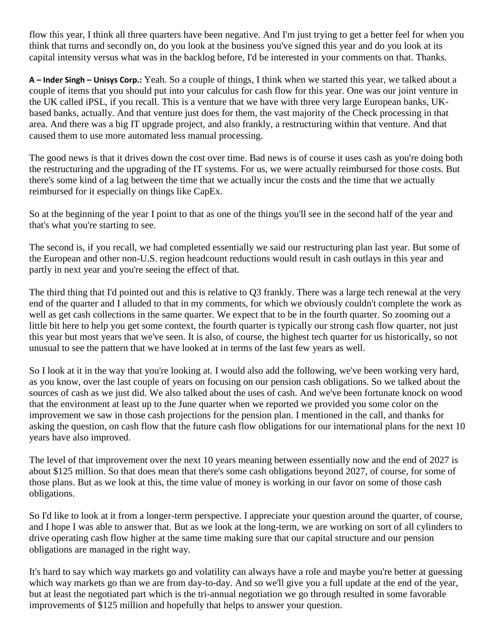flow this year, I think all three quarters have been negative. And I'm just trying to get a better feel for when you think that turns and secondly on, do you look at the business you've signed this year and do you look at its capital intensity versus what was in the backlog before, I'd be interested in your comments on that. Thanks.

**A – Inder Singh – Unisys Corp.:** Yeah. So a couple of things, I think when we started this year, we talked about a couple of items that you should put into your calculus for cash flow for this year. One was our joint venture in the UK called iPSL, if you recall. This is a venture that we have with three very large European banks, UKbased banks, actually. And that venture just does for them, the vast majority of the Check processing in that area. And there was a big IT upgrade project, and also frankly, a restructuring within that venture. And that caused them to use more automated less manual processing.

The good news is that it drives down the cost over time. Bad news is of course it uses cash as you're doing both the restructuring and the upgrading of the IT systems. For us, we were actually reimbursed for those costs. But there's some kind of a lag between the time that we actually incur the costs and the time that we actually reimbursed for it especially on things like CapEx.

So at the beginning of the year I point to that as one of the things you'll see in the second half of the year and that's what you're starting to see.

The second is, if you recall, we had completed essentially we said our restructuring plan last year. But some of the European and other non-U.S. region headcount reductions would result in cash outlays in this year and partly in next year and you're seeing the effect of that.

The third thing that I'd pointed out and this is relative to Q3 frankly. There was a large tech renewal at the very end of the quarter and I alluded to that in my comments, for which we obviously couldn't complete the work as well as get cash collections in the same quarter. We expect that to be in the fourth quarter. So zooming out a little bit here to help you get some context, the fourth quarter is typically our strong cash flow quarter, not just this year but most years that we've seen. It is also, of course, the highest tech quarter for us historically, so not unusual to see the pattern that we have looked at in terms of the last few years as well.

So I look at it in the way that you're looking at. I would also add the following, we've been working very hard, as you know, over the last couple of years on focusing on our pension cash obligations. So we talked about the sources of cash as we just did. We also talked about the uses of cash. And we've been fortunate knock on wood that the environment at least up to the June quarter when we reported we provided you some color on the improvement we saw in those cash projections for the pension plan. I mentioned in the call, and thanks for asking the question, on cash flow that the future cash flow obligations for our international plans for the next 10 years have also improved.

The level of that improvement over the next 10 years meaning between essentially now and the end of 2027 is about \$125 million. So that does mean that there's some cash obligations beyond 2027, of course, for some of those plans. But as we look at this, the time value of money is working in our favor on some of those cash obligations.

So I'd like to look at it from a longer-term perspective. I appreciate your question around the quarter, of course, and I hope I was able to answer that. But as we look at the long-term, we are working on sort of all cylinders to drive operating cash flow higher at the same time making sure that our capital structure and our pension obligations are managed in the right way.

It's hard to say which way markets go and volatility can always have a role and maybe you're better at guessing which way markets go than we are from day-to-day. And so we'll give you a full update at the end of the year, but at least the negotiated part which is the tri-annual negotiation we go through resulted in some favorable improvements of \$125 million and hopefully that helps to answer your question.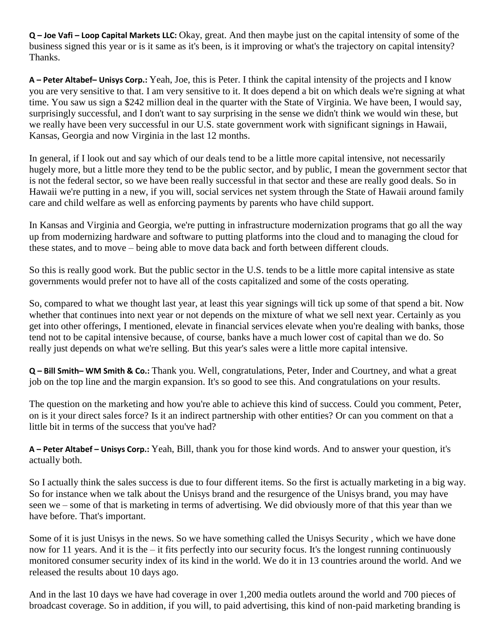**Q – Joe Vafi – Loop Capital Markets LLC:** Okay, great. And then maybe just on the capital intensity of some of the business signed this year or is it same as it's been, is it improving or what's the trajectory on capital intensity? Thanks.

**A – Peter Altabef– Unisys Corp.:** Yeah, Joe, this is Peter. I think the capital intensity of the projects and I know you are very sensitive to that. I am very sensitive to it. It does depend a bit on which deals we're signing at what time. You saw us sign a \$242 million deal in the quarter with the State of Virginia. We have been, I would say, surprisingly successful, and I don't want to say surprising in the sense we didn't think we would win these, but we really have been very successful in our U.S. state government work with significant signings in Hawaii, Kansas, Georgia and now Virginia in the last 12 months.

In general, if I look out and say which of our deals tend to be a little more capital intensive, not necessarily hugely more, but a little more they tend to be the public sector, and by public, I mean the government sector that is not the federal sector, so we have been really successful in that sector and these are really good deals. So in Hawaii we're putting in a new, if you will, social services net system through the State of Hawaii around family care and child welfare as well as enforcing payments by parents who have child support.

In Kansas and Virginia and Georgia, we're putting in infrastructure modernization programs that go all the way up from modernizing hardware and software to putting platforms into the cloud and to managing the cloud for these states, and to move – being able to move data back and forth between different clouds.

So this is really good work. But the public sector in the U.S. tends to be a little more capital intensive as state governments would prefer not to have all of the costs capitalized and some of the costs operating.

So, compared to what we thought last year, at least this year signings will tick up some of that spend a bit. Now whether that continues into next year or not depends on the mixture of what we sell next year. Certainly as you get into other offerings, I mentioned, elevate in financial services elevate when you're dealing with banks, those tend not to be capital intensive because, of course, banks have a much lower cost of capital than we do. So really just depends on what we're selling. But this year's sales were a little more capital intensive.

**Q – Bill Smith– WM Smith & Co.:** Thank you. Well, congratulations, Peter, Inder and Courtney, and what a great job on the top line and the margin expansion. It's so good to see this. And congratulations on your results.

The question on the marketing and how you're able to achieve this kind of success. Could you comment, Peter, on is it your direct sales force? Is it an indirect partnership with other entities? Or can you comment on that a little bit in terms of the success that you've had?

**A – Peter Altabef – Unisys Corp.:** Yeah, Bill, thank you for those kind words. And to answer your question, it's actually both.

So I actually think the sales success is due to four different items. So the first is actually marketing in a big way. So for instance when we talk about the Unisys brand and the resurgence of the Unisys brand, you may have seen we – some of that is marketing in terms of advertising. We did obviously more of that this year than we have before. That's important.

Some of it is just Unisys in the news. So we have something called the Unisys Security , which we have done now for 11 years. And it is the – it fits perfectly into our security focus. It's the longest running continuously monitored consumer security index of its kind in the world. We do it in 13 countries around the world. And we released the results about 10 days ago.

And in the last 10 days we have had coverage in over 1,200 media outlets around the world and 700 pieces of broadcast coverage. So in addition, if you will, to paid advertising, this kind of non-paid marketing branding is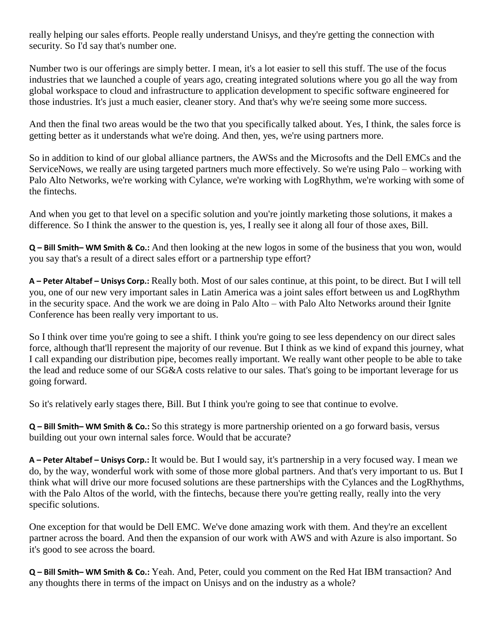really helping our sales efforts. People really understand Unisys, and they're getting the connection with security. So I'd say that's number one.

Number two is our offerings are simply better. I mean, it's a lot easier to sell this stuff. The use of the focus industries that we launched a couple of years ago, creating integrated solutions where you go all the way from global workspace to cloud and infrastructure to application development to specific software engineered for those industries. It's just a much easier, cleaner story. And that's why we're seeing some more success.

And then the final two areas would be the two that you specifically talked about. Yes, I think, the sales force is getting better as it understands what we're doing. And then, yes, we're using partners more.

So in addition to kind of our global alliance partners, the AWSs and the Microsofts and the Dell EMCs and the ServiceNows, we really are using targeted partners much more effectively. So we're using Palo – working with Palo Alto Networks, we're working with Cylance, we're working with LogRhythm, we're working with some of the fintechs.

And when you get to that level on a specific solution and you're jointly marketing those solutions, it makes a difference. So I think the answer to the question is, yes, I really see it along all four of those axes, Bill.

**Q – Bill Smith– WM Smith & Co.:** And then looking at the new logos in some of the business that you won, would you say that's a result of a direct sales effort or a partnership type effort?

**A – Peter Altabef – Unisys Corp.:** Really both. Most of our sales continue, at this point, to be direct. But I will tell you, one of our new very important sales in Latin America was a joint sales effort between us and LogRhythm in the security space. And the work we are doing in Palo Alto – with Palo Alto Networks around their Ignite Conference has been really very important to us.

So I think over time you're going to see a shift. I think you're going to see less dependency on our direct sales force, although that'll represent the majority of our revenue. But I think as we kind of expand this journey, what I call expanding our distribution pipe, becomes really important. We really want other people to be able to take the lead and reduce some of our SG&A costs relative to our sales. That's going to be important leverage for us going forward.

So it's relatively early stages there, Bill. But I think you're going to see that continue to evolve.

**Q – Bill Smith– WM Smith & Co.:** So this strategy is more partnership oriented on a go forward basis, versus building out your own internal sales force. Would that be accurate?

**A – Peter Altabef – Unisys Corp.:** It would be. But I would say, it's partnership in a very focused way. I mean we do, by the way, wonderful work with some of those more global partners. And that's very important to us. But I think what will drive our more focused solutions are these partnerships with the Cylances and the LogRhythms, with the Palo Altos of the world, with the fintechs, because there you're getting really, really into the very specific solutions.

One exception for that would be Dell EMC. We've done amazing work with them. And they're an excellent partner across the board. And then the expansion of our work with AWS and with Azure is also important. So it's good to see across the board.

**Q – Bill Smith– WM Smith & Co.:** Yeah. And, Peter, could you comment on the Red Hat IBM transaction? And any thoughts there in terms of the impact on Unisys and on the industry as a whole?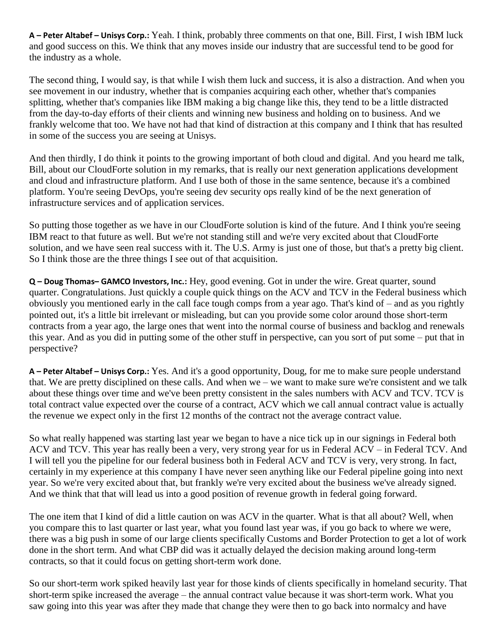**A – Peter Altabef – Unisys Corp.:** Yeah. I think, probably three comments on that one, Bill. First, I wish IBM luck and good success on this. We think that any moves inside our industry that are successful tend to be good for the industry as a whole.

The second thing, I would say, is that while I wish them luck and success, it is also a distraction. And when you see movement in our industry, whether that is companies acquiring each other, whether that's companies splitting, whether that's companies like IBM making a big change like this, they tend to be a little distracted from the day-to-day efforts of their clients and winning new business and holding on to business. And we frankly welcome that too. We have not had that kind of distraction at this company and I think that has resulted in some of the success you are seeing at Unisys.

And then thirdly, I do think it points to the growing important of both cloud and digital. And you heard me talk, Bill, about our CloudForte solution in my remarks, that is really our next generation applications development and cloud and infrastructure platform. And I use both of those in the same sentence, because it's a combined platform. You're seeing DevOps, you're seeing dev security ops really kind of be the next generation of infrastructure services and of application services.

So putting those together as we have in our CloudForte solution is kind of the future. And I think you're seeing IBM react to that future as well. But we're not standing still and we're very excited about that CloudForte solution, and we have seen real success with it. The U.S. Army is just one of those, but that's a pretty big client. So I think those are the three things I see out of that acquisition.

**Q – Doug Thomas– GAMCO Investors, Inc.:** Hey, good evening. Got in under the wire. Great quarter, sound quarter. Congratulations. Just quickly a couple quick things on the ACV and TCV in the Federal business which obviously you mentioned early in the call face tough comps from a year ago. That's kind of – and as you rightly pointed out, it's a little bit irrelevant or misleading, but can you provide some color around those short-term contracts from a year ago, the large ones that went into the normal course of business and backlog and renewals this year. And as you did in putting some of the other stuff in perspective, can you sort of put some – put that in perspective?

**A – Peter Altabef – Unisys Corp.:** Yes. And it's a good opportunity, Doug, for me to make sure people understand that. We are pretty disciplined on these calls. And when we – we want to make sure we're consistent and we talk about these things over time and we've been pretty consistent in the sales numbers with ACV and TCV. TCV is total contract value expected over the course of a contract, ACV which we call annual contract value is actually the revenue we expect only in the first 12 months of the contract not the average contract value.

So what really happened was starting last year we began to have a nice tick up in our signings in Federal both ACV and TCV. This year has really been a very, very strong year for us in Federal ACV – in Federal TCV. And I will tell you the pipeline for our federal business both in Federal ACV and TCV is very, very strong. In fact, certainly in my experience at this company I have never seen anything like our Federal pipeline going into next year. So we're very excited about that, but frankly we're very excited about the business we've already signed. And we think that that will lead us into a good position of revenue growth in federal going forward.

The one item that I kind of did a little caution on was ACV in the quarter. What is that all about? Well, when you compare this to last quarter or last year, what you found last year was, if you go back to where we were, there was a big push in some of our large clients specifically Customs and Border Protection to get a lot of work done in the short term. And what CBP did was it actually delayed the decision making around long-term contracts, so that it could focus on getting short-term work done.

So our short-term work spiked heavily last year for those kinds of clients specifically in homeland security. That short-term spike increased the average – the annual contract value because it was short-term work. What you saw going into this year was after they made that change they were then to go back into normalcy and have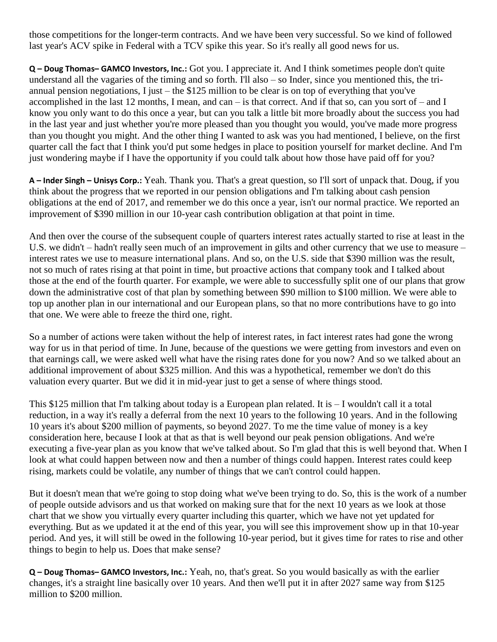those competitions for the longer-term contracts. And we have been very successful. So we kind of followed last year's ACV spike in Federal with a TCV spike this year. So it's really all good news for us.

**Q – Doug Thomas– GAMCO Investors, Inc.:** Got you. I appreciate it. And I think sometimes people don't quite understand all the vagaries of the timing and so forth. I'll also – so Inder, since you mentioned this, the triannual pension negotiations, I just – the \$125 million to be clear is on top of everything that you've accomplished in the last 12 months, I mean, and can – is that correct. And if that so, can you sort of – and I know you only want to do this once a year, but can you talk a little bit more broadly about the success you had in the last year and just whether you're more pleased than you thought you would, you've made more progress than you thought you might. And the other thing I wanted to ask was you had mentioned, I believe, on the first quarter call the fact that I think you'd put some hedges in place to position yourself for market decline. And I'm just wondering maybe if I have the opportunity if you could talk about how those have paid off for you?

**A – Inder Singh – Unisys Corp.:** Yeah. Thank you. That's a great question, so I'll sort of unpack that. Doug, if you think about the progress that we reported in our pension obligations and I'm talking about cash pension obligations at the end of 2017, and remember we do this once a year, isn't our normal practice. We reported an improvement of \$390 million in our 10-year cash contribution obligation at that point in time.

And then over the course of the subsequent couple of quarters interest rates actually started to rise at least in the U.S. we didn't – hadn't really seen much of an improvement in gilts and other currency that we use to measure – interest rates we use to measure international plans. And so, on the U.S. side that \$390 million was the result, not so much of rates rising at that point in time, but proactive actions that company took and I talked about those at the end of the fourth quarter. For example, we were able to successfully split one of our plans that grow down the administrative cost of that plan by something between \$90 million to \$100 million. We were able to top up another plan in our international and our European plans, so that no more contributions have to go into that one. We were able to freeze the third one, right.

So a number of actions were taken without the help of interest rates, in fact interest rates had gone the wrong way for us in that period of time. In June, because of the questions we were getting from investors and even on that earnings call, we were asked well what have the rising rates done for you now? And so we talked about an additional improvement of about \$325 million. And this was a hypothetical, remember we don't do this valuation every quarter. But we did it in mid-year just to get a sense of where things stood.

This \$125 million that I'm talking about today is a European plan related. It is  $-$  I wouldn't call it a total reduction, in a way it's really a deferral from the next 10 years to the following 10 years. And in the following 10 years it's about \$200 million of payments, so beyond 2027. To me the time value of money is a key consideration here, because I look at that as that is well beyond our peak pension obligations. And we're executing a five-year plan as you know that we've talked about. So I'm glad that this is well beyond that. When I look at what could happen between now and then a number of things could happen. Interest rates could keep rising, markets could be volatile, any number of things that we can't control could happen.

But it doesn't mean that we're going to stop doing what we've been trying to do. So, this is the work of a number of people outside advisors and us that worked on making sure that for the next 10 years as we look at those chart that we show you virtually every quarter including this quarter, which we have not yet updated for everything. But as we updated it at the end of this year, you will see this improvement show up in that 10-year period. And yes, it will still be owed in the following 10-year period, but it gives time for rates to rise and other things to begin to help us. Does that make sense?

**Q – Doug Thomas– GAMCO Investors, Inc.:** Yeah, no, that's great. So you would basically as with the earlier changes, it's a straight line basically over 10 years. And then we'll put it in after 2027 same way from \$125 million to \$200 million.